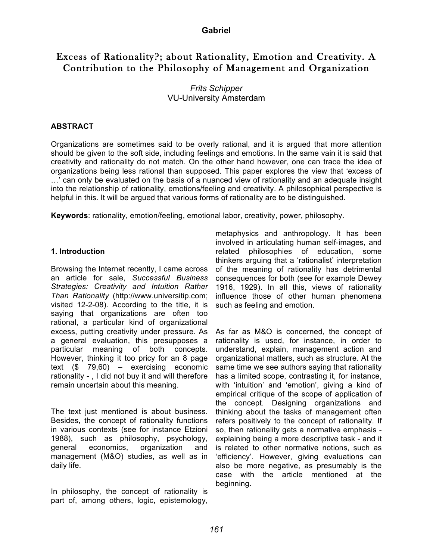### **Gabriel**

# Excess of Rationality?; about Rationality, Emotion and Creativity. A Contribution to the Philosophy of Management and Organization

# *Frits Schipper* VU-University Amsterdam

#### **ABSTRACT**

Organizations are sometimes said to be overly rational, and it is argued that more attention should be given to the soft side, including feelings and emotions. In the same vain it is said that creativity and rationality do not match. On the other hand however, one can trace the idea of organizations being less rational than supposed. This paper explores the view that 'excess of …' can only be evaluated on the basis of a nuanced view of rationality and an adequate insight into the relationship of rationality, emotions/feeling and creativity. A philosophical perspective is helpful in this. It will be argued that various forms of rationality are to be distinguished.

**Keywords**: rationality, emotion/feeling, emotional labor, creativity, power, philosophy.

#### **1. Introduction**

Browsing the Internet recently, I came across an article for sale, *Successful Business Strategies: Creativity and Intuition Rather Than Rationality* (http://www.universitip.com; visited 12-2-08). According to the title, it is saying that organizations are often too rational, a particular kind of organizational excess, putting creativity under pressure. As a general evaluation, this presupposes a particular meaning of both concepts. However, thinking it too pricy for an 8 page text (\$ 79,60) – exercising economic rationality - , I did not buy it and will therefore remain uncertain about this meaning.

The text just mentioned is about business. Besides, the concept of rationality functions in various contexts (see for instance Etzioni 1988), such as philosophy, psychology, general economics, organization and management (M&O) studies, as well as in daily life.

In philosophy, the concept of rationality is part of, among others, logic, epistemology,

metaphysics and anthropology. It has been involved in articulating human self-images, and related philosophies of education, some thinkers arguing that a 'rationalist' interpretation of the meaning of rationality has detrimental consequences for both (see for example Dewey 1916, 1929). In all this, views of rationality influence those of other human phenomena such as feeling and emotion.

As far as M&O is concerned, the concept of rationality is used, for instance, in order to understand, explain, management action and organizational matters, such as structure. At the same time we see authors saying that rationality has a limited scope, contrasting it, for instance, with 'intuition' and 'emotion', giving a kind of empirical critique of the scope of application of the concept. Designing organizations and thinking about the tasks of management often refers positively to the concept of rationality. If so, then rationality gets a normative emphasis explaining being a more descriptive task - and it is related to other normative notions, such as 'efficiency'. However, giving evaluations can also be more negative, as presumably is the case with the article mentioned at the beginning.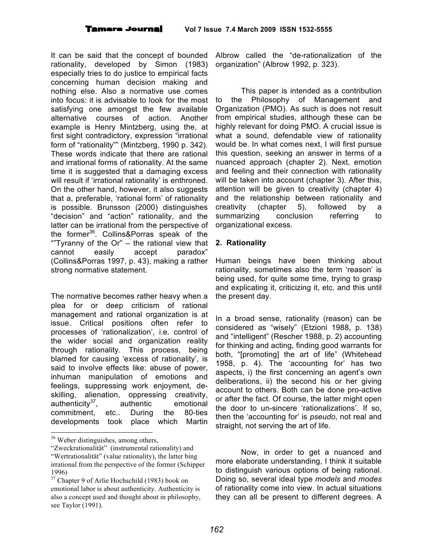It can be said that the concept of bounded rationality, developed by Simon (1983) especially tries to do justice to empirical facts concerning human decision making and nothing else. Also a normative use comes into focus: it is advisable to look for the most satisfying one amongst the few available alternative courses of action. Another example is Henry Mintzberg, using the, at first sight contradictory, expression "irrational form of "rationality"" (Mintzberg, 1990 p. 342). These words indicate that there are rational and irrational forms of rationality. At the same time it is suggested that a damaging excess will result if 'irrational rationality' is enthroned. On the other hand, however, it also suggests that a, preferable, 'rational form' of rationality is possible. Brunsson (2000) distinguishes "decision" and "action" rationality, and the latter can be irrational from the perspective of the former<sup>36</sup>. Collins&Porras speak of the "Tyranny of the  $Or$ " – the rational view that cannot easily accept paradox" (Collins&Porras 1997, p. 43), making a rather strong normative statement.

The normative becomes rather heavy when a plea for or deep criticism of rational management and rational organization is at issue. Critical positions often refer to processes of 'rationalization', i.e. control of the wider social and organization reality through rationality. This process, being blamed for causing 'excess of rationality', is said to involve effects like: abuse of power, inhuman manipulation of emotions and feelings, suppressing work enjoyment, deskilling, alienation, oppressing creativity, authenticity $37$ , , authentic emotional commitment, etc.. During the 80-ties developments took place which Martin

36 Weber distinguishes, among others,

Albrow called the "de-rationalization of the organization" (Albrow 1992, p. 323).

This paper is intended as a contribution to the Philosophy of Management and Organization (PMO). As such is does not result from empirical studies, although these can be highly relevant for doing PMO. A crucial issue is what a sound, defendable view of rationality would be. In what comes next, I will first pursue this question, seeking an answer in terms of a nuanced approach (chapter 2). Next, emotion and feeling and their connection with rationality will be taken into account (chapter 3). After this, attention will be given to creativity (chapter 4) and the relationship between rationality and creativity (chapter 5), followed by a summarizing conclusion referring to organizational excess.

### **2. Rationality**

Human beings have been thinking about rationality, sometimes also the term 'reason' is being used, for quite some time, trying to grasp and explicating it, criticizing it, etc. and this until the present day.

In a broad sense, rationality (reason) can be considered as "wisely" (Etzioni 1988, p. 138) and "intelligent" (Rescher 1988, p. 2) accounting for thinking and acting, finding good warrants for both, "[promoting] the art of life" (Whitehead 1958, p. 4). The 'accounting for' has two aspects, i) the first concerning an agent's own deliberations, ii) the second his or her giving account to others. Both can be done pro-active or after the fact. Of course, the latter might open the door to un-sincere 'rationalizations'. If so, then the 'accounting for' is *pseudo*, not real and straight, not serving the art of life.

Now, in order to get a nuanced and more elaborate understanding, I think it suitable to distinguish various options of being rational. Doing so, several ideal type *models* and *modes* of rationality come into view. In actual situations they can all be present to different degrees. A

<sup>&</sup>quot;Zweckrationalität" (instrumental rationality) and "Wertrationalität" (value rationality), the latter bing irrational from the perspective of the former (Schipper 1996)<br> $37$  Chapter 9 of Arlie Hochschild (1983) book on

emotional labor is about authenticity. Authenticity is also a concept used and thought about in philosophy, see Taylor (1991).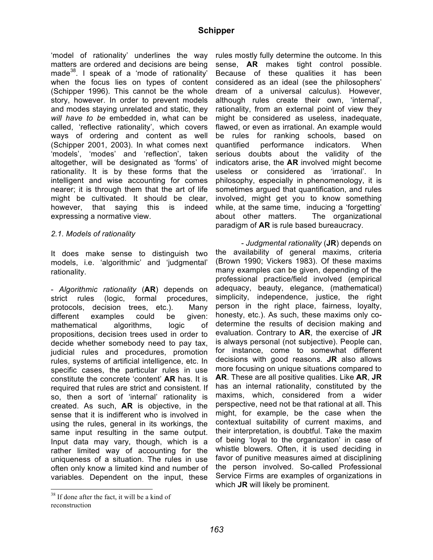'model of rationality' underlines the way matters are ordered and decisions are being made<sup>38</sup>. I speak of a 'mode of rationality' when the focus lies on types of content (Schipper 1996). This cannot be the whole story, however. In order to prevent models and modes staying unrelated and static, they *will have to be* embedded in, what can be called, 'reflective rationality', which covers ways of ordering and content as well (Schipper 2001, 2003). In what comes next 'models', 'modes' and 'reflection', taken altogether, will be designated as 'forms' of rationality. It is by these forms that the intelligent and wise accounting for comes nearer; it is through them that the art of life might be cultivated. It should be clear, however, that saying this is indeed expressing a normative view.

#### *2.1. Models of rationality*

It does make sense to distinguish two models, i.e. 'algorithmic' and 'judgmental' rationality.

- *Algorithmic rationality* (**AR**) depends on strict rules (logic, formal procedures, protocols, decision trees, etc.). Many different examples could be given: mathematical algorithms, logic of propositions, decision trees used in order to decide whether somebody need to pay tax, judicial rules and procedures, promotion rules, systems of artificial intelligence, etc. In specific cases, the particular rules in use constitute the concrete 'content' **AR** has. It is required that rules are strict and consistent. If so, then a sort of 'internal' rationality is created. As such, **AR** is objective, in the sense that it is indifferent who is involved in using the rules, general in its workings, the same input resulting in the same output. Input data may vary, though, which is a rather limited way of accounting for the uniqueness of a situation. The rules in use often only know a limited kind and number of variables. Dependent on the input, these

rules mostly fully determine the outcome. In this sense, **AR** makes tight control possible. Because of these qualities it has been considered as an ideal (see the philosophers' dream of a universal calculus). However, although rules create their own, 'internal', rationality, from an external point of view they might be considered as useless, inadequate, flawed, or even as irrational. An example would be rules for ranking schools, based on quantified performance indicators. When serious doubts about the validity of the indicators arise, the **AR** involved might become useless or considered as 'irrational'. In philosophy, especially in phenomenology, it is sometimes argued that quantification, and rules involved, might get you to know something while, at the same time, inducing a 'forgetting' about other matters. The organizational paradigm of **AR** is rule based bureaucracy.

*- Judgmental rationality* (**JR**) depends on the availability of general maxims, criteria (Brown 1990; Vickers 1983). Of these maxims many examples can be given, depending of the professional practice/field involved (empirical adequacy, beauty, elegance, (mathematical) simplicity, independence, justice, the right person in the right place, fairness, loyalty, honesty, etc.). As such, these maxims only codetermine the results of decision making and evaluation. Contrary to **AR**, the exercise of **JR** is always personal (not subjective). People can, for instance, come to somewhat different decisions with good reasons. **JR** also allows more focusing on unique situations compared to **AR**. These are all positive qualities. Like **AR**, **JR** has an internal rationality, constituted by the maxims, which, considered from a wider perspective, need not be that rational at all. This might, for example, be the case when the contextual suitability of current maxims, and their interpretation, is doubtful. Take the maxim of being 'loyal to the organization' in case of whistle blowers. Often, it is used deciding in favor of punitive measures aimed at disciplining the person involved. So-called Professional Service Firms are examples of organizations in which **JR** will likely be prominent.

<sup>&</sup>lt;sup>38</sup> If done after the fact, it will be a kind of reconstruction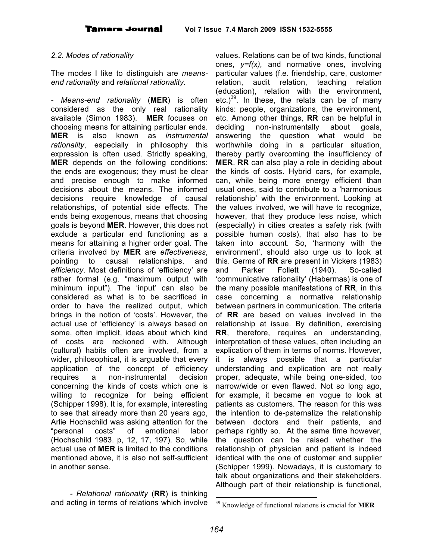#### *2.2. Modes of rationality*

The modes I like to distinguish are *meansend rationality* and *relational rationality.*

*- Means-end rationality* (**MER**) is often considered as the only real rationality available (Simon 1983). **MER** focuses on choosing means for attaining particular ends. **MER** is also known as *instrumental rationality*, especially in philosophy this expression is often used. Strictly speaking, **MER** depends on the following conditions: the ends are exogenous; they must be clear and precise enough to make informed decisions about the means. The informed decisions require knowledge of causal relationships, of potential side effects. The ends being exogenous, means that choosing goals is beyond **MER**. However, this does not exclude a particular end functioning as a means for attaining a higher order goal. The criteria involved by **MER** are *effectiveness*, pointing to causal relationships, and *efficiency*. Most definitions of 'efficiency' are rather formal (e.g. "maximum output with minimum input"). The 'input' can also be considered as what is to be sacrificed in order to have the realized output, which brings in the notion of 'costs'. However, the actual use of 'efficiency' is always based on some, often implicit, ideas about which kind of costs are reckoned with. Although (cultural) habits often are involved, from a wider, philosophical, it is arguable that every application of the concept of efficiency requires a non-instrumental decision concerning the kinds of costs which one is willing to recognize for being efficient (Schipper 1998). It is, for example, interesting to see that already more than 20 years ago, Arlie Hochschild was asking attention for the "personal costs" of emotional labor (Hochschild 1983. p, 12, 17, 197). So, while actual use of **MER** is limited to the conditions mentioned above, it is also not self-sufficient in another sense.

*- Relational rationality* (**RR**) is thinking and acting in terms of relations which involve

values. Relations can be of two kinds, functional ones, *y=f(x),* and normative ones, involving particular values (f.e. friendship, care, customer relation, audit relation, teaching relation (education), relation with the environment, etc.)<sup>39</sup>. In these, the relata can be of many kinds: people, organizations, the environment, etc. Among other things, **RR** can be helpful in deciding non-instrumentally about goals, answering the question what would be worthwhile doing in a particular situation, thereby partly overcoming the insufficiency of **MER**. **RR** can also play a role in deciding about the kinds of costs. Hybrid cars, for example, can, while being more energy efficient than usual ones, said to contribute to a 'harmonious relationship' with the environment. Looking at the values involved, we will have to recognize, however, that they produce less noise, which (especially) in cities creates a safety risk (with possible human costs), that also has to be taken into account. So, 'harmony with the environment', should also urge us to look at this. Germs of **RR** are present in Vickers (1983) and Parker Follett (1940). So-called 'communicative rationality' (Habermas) is one of the many possible manifestations of **RR**, in this case concerning a normative relationship between partners in communication. The criteria of **RR** are based on values involved in the relationship at issue. By definition, exercising **RR**, therefore, requires an understanding, interpretation of these values, often including an explication of them in terms of norms. However, it is always possible that a particular understanding and explication are not really proper, adequate, while being one-sided, too narrow/wide or even flawed. Not so long ago, for example, it became en vogue to look at patients as customers. The reason for this was the intention to de-paternalize the relationship between doctors and their patients, and perhaps rightly so. At the same time however, the question can be raised whether the relationship of physician and patient is indeed identical with the one of customer and supplier (Schipper 1999). Nowadays, it is customary to talk about organizations and their stakeholders. Although part of their relationship is functional,

 <sup>39</sup> Knowledge of functional relations is crucial for **MER**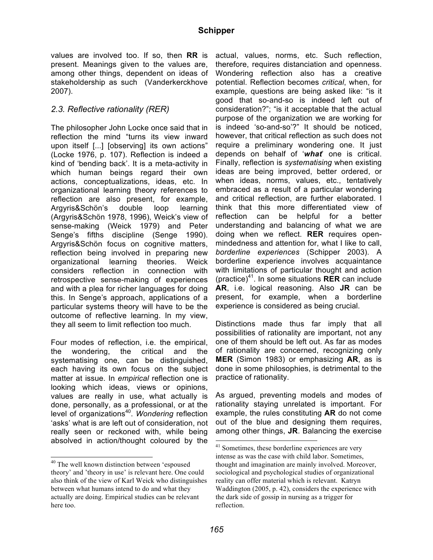values are involved too. If so, then **RR** is present. Meanings given to the values are, among other things, dependent on ideas of stakeholdership as such (Vanderkerckhove 2007).

# *2.3. Reflective rationality (RER)*

The philosopher John Locke once said that in reflection the mind "turns its view inward upon itself [...] [observing] its own actions" (Locke 1976, p. 107). Reflection is indeed a kind of 'bending back'. It is a meta-activity in which human beings regard their own actions, conceptualizations, ideas, etc. In organizational learning theory references to reflection are also present, for example, Argyris&Schön's double loop learning (Argyris&Schön 1978, 1996), Weick's view of sense-making (Weick 1979) and Peter Senge's fifths discipline (Senge 1990). Argyris&Schön focus on cognitive matters, reflection being involved in preparing new organizational learning theories. Weick considers reflection in connection with retrospective sense-making of experiences and with a plea for richer languages for doing this. In Senge's approach, applications of a particular systems theory will have to be the outcome of reflective learning. In my view, they all seem to limit reflection too much.

Four modes of reflection, i.e. the empirical, the wondering, the critical and the systematising one, can be distinguished, each having its own focus on the subject matter at issue. In *empirical* reflection one is looking which ideas, views or opinions, values are really in use, what actually is done, personally, as a professional, or at the level of organizations<sup>40</sup>. Wondering reflection 'asks' what is are left out of consideration, not really seen or reckoned with, while being absolved in action/thought coloured by the

actual, values, norms, etc. Such reflection, therefore, requires distanciation and openness. Wondering reflection also has a creative potential. Reflection becomes *critical*, when, for example, questions are being asked like: "is it good that so-and-so is indeed left out of consideration?"; "is it acceptable that the actual purpose of the organization we are working for is indeed 'so-and-so'?" It should be noticed, however, that critical reflection as such does not require a preliminary wondering one. It just depends on behalf of '*what*' one is critical. Finally, reflection is *systematising* when existing ideas are being improved, better ordered, or when ideas, norms, values, etc., tentatively embraced as a result of a particular wondering and critical reflection, are further elaborated. I think that this more differentiated view of reflection can be helpful for a better understanding and balancing of what we are doing when we reflect. **RER** requires openmindedness and attention for, what I like to call, *borderline experiences* (Schipper 2003). A borderline experience involves acquaintance with limitations of particular thought and action (practice) 41 . In some situations **RER** can include **AR**, i.e. logical reasoning. Also **JR** can be present, for example, when a borderline experience is considered as being crucial.

Distinctions made thus far imply that all possibilities of rationality are important, not any one of them should be left out. As far as modes of rationality are concerned, recognizing only **MER** (Simon 1983) or emphasizing **AR**, as is done in some philosophies, is detrimental to the practice of rationality.

As argued, preventing models and modes of rationality staying unrelated is important. For example, the rules constituting **AR** do not come out of the blue and designing them requires, among other things, **JR**. Balancing the exercise

 <sup>40</sup> The well known distinction between 'espoused theory' and 'theory in use' is relevant here. One could also think of the view of Karl Weick who distinguishes between what humans intend to do and what they actually are doing. Empirical studies can be relevant here too.

<sup>&</sup>lt;sup>41</sup> Sometimes, these borderline experiences are very intense as was the case with child labor. Sometimes, thought and imagination are mainly involved. Moreover, sociological and psychological studies of organizational reality can offer material which is relevant. Katryn Waddington (2005, p. 42), considers the experience with the dark side of gossip in nursing as a trigger for reflection.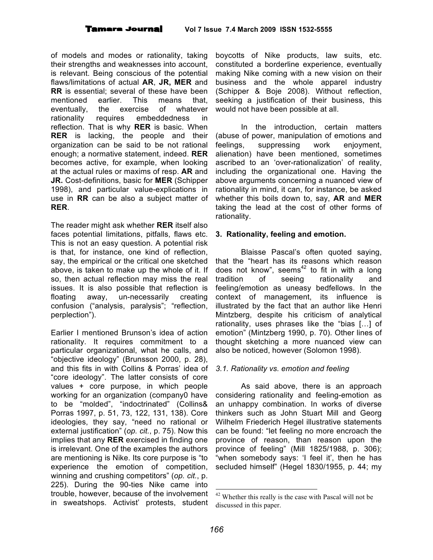of models and modes or rationality, taking their strengths and weaknesses into account, is relevant. Being conscious of the potential flaws/limitations of actual **AR**, **JR, MER** and **RR** is essential; several of these have been mentioned earlier. This means that, eventually, the exercise of whatever rationality requires embeddedness in reflection. That is why **RER** is basic. When **RER** is lacking, the people and their organization can be said to be not rational enough; a normative statement, indeed. **RER** becomes active, for example, when looking at the actual rules or maxims of resp. **AR** and **JR.** Cost-definitions, basic for **MER** (Schipper 1998), and particular value-explications in use in **RR** can be also a subject matter of **RER**.

The reader might ask whether **RER** itself also faces potential limitations, pitfalls, flaws etc. This is not an easy question. A potential risk is that, for instance, one kind of reflection, say, the empirical or the critical one sketched above, is taken to make up the whole of it. If so, then actual reflection may miss the real issues. It is also possible that reflection is floating away, un-necessarily creating confusion ("analysis, paralysis"; "reflection, perplection").

Earlier I mentioned Brunson's idea of action rationality. It requires commitment to a particular organizational, what he calls, and "objective ideology" (Brunsson 2000, p. 28), and this fits in with Collins & Porras' idea of "core ideology". The latter consists of core values + core purpose, in which people working for an organization (company0 have to be "molded", "indoctrinated" (Collins& Porras 1997, p. 51, 73, 122, 131, 138). Core ideologies, they say, "need no rational or external justification" (*op. cit.*, p. 75). Now this implies that any **RER** exercised in finding one is irrelevant. One of the examples the authors are mentioning is Nike. Its core purpose is "to experience the emotion of competition, winning and crushing competitors" (*op. cit.*, p. 225). During the 90-ties Nike came into trouble, however, because of the involvement in sweatshops. Activist' protests, student

boycotts of Nike products, law suits, etc. constituted a borderline experience, eventually making Nike coming with a new vision on their business and the whole apparel industry (Schipper & Boje 2008). Without reflection, seeking a justification of their business, this would not have been possible at all.

In the introduction, certain matters (abuse of power, manipulation of emotions and feelings, suppressing work enjoyment, alienation) have been mentioned, sometimes ascribed to an 'over-rationalization' of reality, including the organizational one. Having the above arguments concerning a nuanced view of rationality in mind, it can, for instance, be asked whether this boils down to, say, **AR** and **MER** taking the lead at the cost of other forms of rationality.

# **3. Rationality, feeling and emotion.**

Blaisse Pascal's often quoted saying, that the "heart has its reasons which reason does not know", seems $42$  to fit in with a long tradition of seeing rationality and feeling/emotion as uneasy bedfellows. In the context of management, its influence is illustrated by the fact that an author like Henri Mintzberg, despite his criticism of analytical rationality, uses phrases like the "bias […] of emotion" (Mintzberg 1990, p. 70). Other lines of thought sketching a more nuanced view can also be noticed, however (Solomon 1998).

# *3.1. Rationality vs. emotion and feeling*

As said above, there is an approach considering rationality and feeling-emotion as an unhappy combination. In works of diverse thinkers such as John Stuart Mill and Georg Wilhelm Friederich Hegel illustrative statements can be found: "let feeling no more encroach the province of reason, than reason upon the province of feeling" (Mill 1825/1988, p. 306); "when somebody says: 'I feel it', then he has secluded himself" (Hegel 1830/1955, p. 44; my

 <sup>42</sup> Whether this really is the case with Pascal will not be discussed in this paper.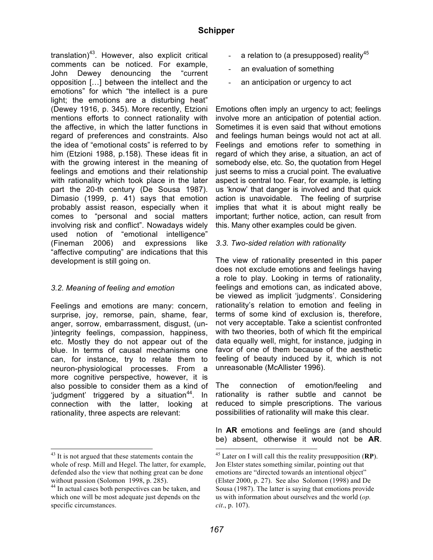translation)<sup>43</sup>. However, also explicit critical comments can be noticed. For example, John Dewey denouncing the "current opposition […] between the intellect and the emotions" for which "the intellect is a pure light; the emotions are a disturbing heat" (Dewey 1916, p. 345). More recently, Etzioni mentions efforts to connect rationality with the affective, in which the latter functions in regard of preferences and constraints. Also the idea of "emotional costs" is referred to by him (Etzioni 1988, p.158). These ideas fit in with the growing interest in the meaning of feelings and emotions and their relationship with rationality which took place in the later part the 20-th century (De Sousa 1987). Dimasio (1999, p. 41) says that emotion probably assist reason, especially when it comes to "personal and social matters involving risk and conflict". Nowadays widely used notion of "emotional intelligence" (Fineman 2006) and expressions like "affective computing" are indications that this development is still going on.

# *3.2. Meaning of feeling and emotion*

Feelings and emotions are many: concern, surprise, joy, remorse, pain, shame, fear, anger, sorrow, embarrassment, disgust, (un- )integrity feelings, compassion, happiness, etc. Mostly they do not appear out of the blue. In terms of causal mechanisms one can, for instance, try to relate them to neuron-physiological processes. From a more cognitive perspective, however, it is also possible to consider them as a kind of 'judgment' triggered by a situation<sup>44</sup>. In connection with the latter, looking at rationality, three aspects are relevant:

- a relation to (a presupposed) reality<sup>45</sup>
- an evaluation of something
- an anticipation or urgency to act

Emotions often imply an urgency to act; feelings involve more an anticipation of potential action. Sometimes it is even said that without emotions and feelings human beings would not act at all. Feelings and emotions refer to something in regard of which they arise, a situation, an act of somebody else, etc. So, the quotation from Hegel just seems to miss a crucial point. The evaluative aspect is central too. Fear, for example, is letting us 'know' that danger is involved and that quick action is unavoidable. The feeling of surprise implies that what it is about might really be important; further notice, action, can result from this. Many other examples could be given.

### *3.3. Two-sided relation with rationality*

The view of rationality presented in this paper does not exclude emotions and feelings having a role to play. Looking in terms of rationality, feelings and emotions can, as indicated above, be viewed as implicit 'judgments'. Considering rationality's relation to emotion and feeling in terms of some kind of exclusion is, therefore, not very acceptable. Take a scientist confronted with two theories, both of which fit the empirical data equally well, might, for instance, judging in favor of one of them because of the aesthetic feeling of beauty induced by it, which is not unreasonable (McAllister 1996).

The connection of emotion/feeling and rationality is rather subtle and cannot be reduced to simple prescriptions. The various possibilities of rationality will make this clear.

In **AR** emotions and feelings are (and should be) absent, otherwise it would not be **AR**.

<sup>&</sup>lt;sup>43</sup> It is not argued that these statements contain the whole of resp. Mill and Hegel. The latter, for example, defended also the view that nothing great can be done

without passion (Solomon 1998, p. 285).<br><sup>44</sup> In actual cases both perspectives can be taken, and which one will be most adequate just depends on the specific circumstances.

 <sup>45</sup> Later on <sup>I</sup> will call this the reality presupposition (**RP**). Jon Elster states something similar, pointing out that emotions are "directed towards an intentional object" (Elster 2000, p. 27). See also Solomon (1998) and De Sousa (1987). The latter is saying that emotions provide us with information about ourselves and the world (*op. cit*., p. 107).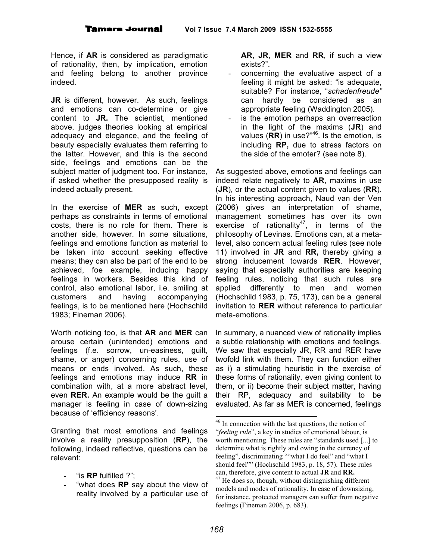Hence, if **AR** is considered as paradigmatic of rationality, then, by implication, emotion and feeling belong to another province indeed.

**JR** is different, however. As such, feelings and emotions can co-determine or give content to **JR.** The scientist, mentioned above, judges theories looking at empirical adequacy and elegance, and the feeling of beauty especially evaluates them referring to the latter. However, and this is the second side, feelings and emotions can be the subject matter of judgment too. For instance, if asked whether the presupposed reality is indeed actually present.

In the exercise of **MER** as such, except perhaps as constraints in terms of emotional costs, there is no role for them. There is another side, however. In some situations, feelings and emotions function as material to be taken into account seeking effective means; they can also be part of the end to be achieved, foe example, inducing happy feelings in workers. Besides this kind of control, also emotional labor, i.e. smiling at customers and having accompanying feelings, is to be mentioned here (Hochschild 1983; Fineman 2006).

Worth noticing too, is that **AR** and **MER** can arouse certain (unintended) emotions and feelings (f.e. sorrow, un-easiness, guilt, shame, or anger) concerning rules, use of means or ends involved. As such, these feelings and emotions may induce **RR** in combination with, at a more abstract level, even **RER.** An example would be the guilt a manager is feeling in case of down-sizing because of 'efficiency reasons'.

Granting that most emotions and feelings involve a reality presupposition (**RP**), the following, indeed reflective, questions can be relevant:

- "is **RP** fulfilled ?";
- "what does **RP** say about the view of reality involved by a particular use of

**AR**, **JR**, **MER** and **RR**, if such a view exists?".

- concerning the evaluative aspect of a feeling it might be asked: "is adequate, suitable? For instance, "*schadenfreude"* can hardly be considered as an appropriate feeling (Waddington 2005).
- is the emotion perhaps an overreaction in the light of the maxims (**JR**) and values (RR) in use?"<sup>46</sup>. Is the emotion, is including **RP,** due to stress factors on the side of the emoter? (see note 8).

As suggested above, emotions and feelings can indeed relate negatively to **AR**, maxims in use (**JR**), or the actual content given to values (**RR**). In his interesting approach, Naud van der Ven (2006) gives an interpretation of shame, management sometimes has over its own exercise of rationality $47$ , in terms of the philosophy of Levinas. Emotions can, at a metalevel, also concern actual feeling rules (see note 11) involved in **JR** and **RR,** thereby giving a strong inducement towards **RER**. However, saying that especially authorities are keeping feeling rules, noticing that such rules are applied differently to men and women (Hochschild 1983, p. 75, 173), can be a general invitation to **RER** without reference to particular meta-emotions.

In summary, a nuanced view of rationality implies a subtle relationship with emotions and feelings. We saw that especially JR, RR and RER have twofold link with them. They can function either as i) a stimulating heuristic in the exercise of these forms of rationality, even giving content to them, or ii) become their subject matter, having their RP, adequacy and suitability to be evaluated. As far as MER is concerned, feelings

 <sup>46</sup> In connection with the last questions, the notion of "*feeling rule*", a key in studies of emotional labour, is worth mentioning. These rules are "standards used [...] to determine what is rightly and owing in the currency of feeling", discriminating ""what I do feel" and "what I should feel"" (Hochschild 1983, p. 18, 57). These rules can, therefore, give content to actual **JR** and **RR.** <sup>47</sup> He does so, though, without distinguishing different models and modes of rationality. In case of downsizing, for instance, protected managers can suffer from negative feelings (Fineman 2006, p. 683).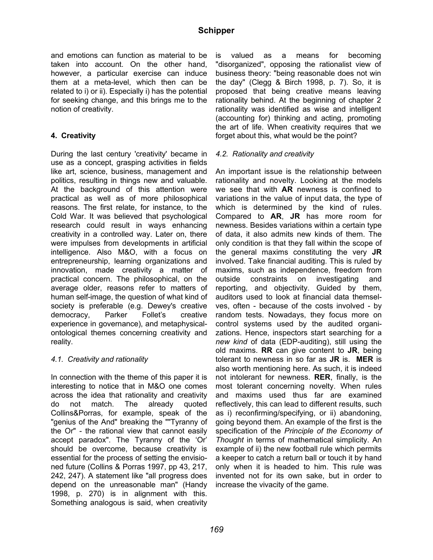and emotions can function as material to be taken into account. On the other hand, however, a particular exercise can induce them at a meta-level, which then can be related to i) or ii). Especially i) has the potential for seeking change, and this brings me to the notion of creativity.

# **4. Creativity**

During the last century 'creativity' became in use as a concept, grasping activities in fields like art, science, business, management and politics, resulting in things new and valuable. At the background of this attention were practical as well as of more philosophical reasons. The first relate, for instance, to the Cold War. It was believed that psychological research could result in ways enhancing creativity in a controlled way. Later on, there were impulses from developments in artificial intelligence. Also M&O, with a focus on entrepreneurship, learning organizations and innovation, made creativity a matter of practical concern. The philosophical, on the average older, reasons refer to matters of human self-image, the question of what kind of society is preferable (e.g. Dewey's creative democracy, Parker Follet's creative experience in governance), and metaphysicalontological themes concerning creativity and reality.

#### *4.1. Creativity and rationality*

In connection with the theme of this paper it is interesting to notice that in M&O one comes across the idea that rationality and creativity do not match. The already quoted Collins&Porras, for example, speak of the "genius of the And" breaking the ""Tyranny of the Or" - the rational view that cannot easily accept paradox". The Tyranny of the 'Or' should be overcome, because creativity is essential for the process of setting the envisioned future (Collins & Porras 1997, pp 43, 217, 242, 247). A statement like "all progress does depend on the unreasonable man" (Handy 1998, p. 270) is in alignment with this. Something analogous is said, when creativity

is valued as a means for becoming "disorganized", opposing the rationalist view of business theory: "being reasonable does not win the day" (Clegg & Birch 1998, p. 7). So, it is proposed that being creative means leaving rationality behind. At the beginning of chapter 2 rationality was identified as wise and intelligent (accounting for) thinking and acting, promoting the art of life. When creativity requires that we forget about this, what would be the point?

#### *4.2. Rationality and creativity*

An important issue is the relationship between rationality and novelty. Looking at the models we see that with **AR** newness is confined to variations in the value of input data, the type of which is determined by the kind of rules. Compared to **AR**, **JR** has more room for newness. Besides variations within a certain type of data, it also admits new kinds of them. The only condition is that they fall within the scope of the general maxims constituting the very **JR** involved. Take financial auditing. This is ruled by maxims, such as independence, freedom from outside constraints on investigating and reporting, and objectivity. Guided by them, auditors used to look at financial data themselves, often - because of the costs involved - by random tests. Nowadays, they focus more on control systems used by the audited organizations. Hence, inspectors start searching for a *new kind* of data (EDP-auditing), still using the old maxims. **RR** can give content to **JR**, being tolerant to newness in so far as **JR** is. **MER** is also worth mentioning here. As such, it is indeed not intolerant for newness. **RER**, finally, is the most tolerant concerning novelty. When rules and maxims used thus far are examined reflectively, this can lead to different results, such as i) reconfirming/specifying, or ii) abandoning, going beyond them. An example of the first is the specification of the *Principle of the Economy of Thought* in terms of mathematical simplicity. An example of ii) the new football rule which permits a keeper to catch a return ball or touch it by hand only when it is headed to him. This rule was invented not for its own sake, but in order to increase the vivacity of the game.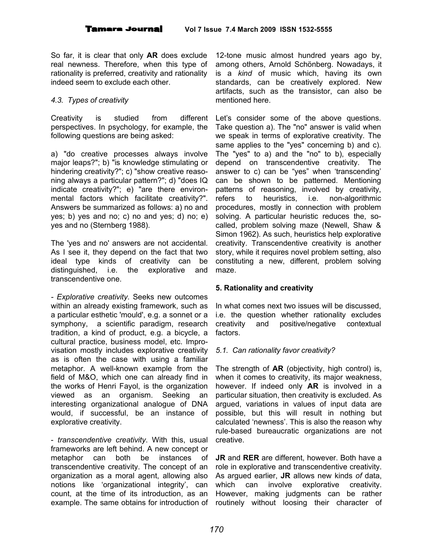So far, it is clear that only **AR** does exclude real newness. Therefore, when this type of rationality is preferred, creativity and rationality indeed seem to exclude each other.

### *4.3. Types of creativity*

Creativity is studied from different perspectives. In psychology, for example, the following questions are being asked:

a) "do creative processes always involve major leaps?"; b) "is knowledge stimulating or hindering creativity?"; c) "show creative reasoning always a particular pattern?"; d) "does IQ indicate creativity?"; e) "are there environmental factors which facilitate creativity?". Answers be summarized as follows: a) no and yes; b) yes and no; c) no and yes; d) no; e) yes and no (Sternberg 1988).

The 'yes and no' answers are not accidental. As I see it, they depend on the fact that two ideal type kinds of creativity can be distinguished, i.e. the explorative and transcendentive one.

*- Explorative creativity*. Seeks new outcomes within an already existing framework, such as a particular esthetic 'mould', e.g. a sonnet or a symphony, a scientific paradigm, research tradition, a kind of product, e.g. a bicycle, a cultural practice, business model, etc. Improvisation mostly includes explorative creativity as is often the case with using a familiar metaphor. A well-known example from the field of M&O, which one can already find in the works of Henri Fayol, is the organization viewed as an organism. Seeking an interesting organizational analogue of DNA would, if successful, be an instance of explorative creativity.

- *transcendentive creativity*. With this, usual frameworks are left behind. A new concept or metaphor can both be instances of transcendentive creativity. The concept of an organization as a moral agent, allowing also notions like 'organizational integrity', can count, at the time of its introduction, as an

12-tone music almost hundred years ago by, among others, Arnold Schönberg. Nowadays, it is a *kind* of music which, having its own standards, can be creatively explored. New artifacts, such as the transistor, can also be mentioned here.

Let's consider some of the above questions. Take question a). The "no" answer is valid when we speak in terms of explorative creativity. The same applies to the "yes" concerning b) and c). The "yes" to a) and the "no" to b), especially depend on transcendentive creativity. The answer to c) can be "yes" when 'transcending' can be shown to be patterned. Mentioning patterns of reasoning, involved by creativity, refers to heuristics, i.e. non-algorithmic procedures, mostly in connection with problem solving. A particular heuristic reduces the, socalled, problem solving maze (Newell, Shaw & Simon 1962). As such, heuristics help explorative creativity. Transcendentive creativity is another story, while it requires novel problem setting, also constituting a new, different, problem solving maze.

# **5. Rationality and creativity**

In what comes next two issues will be discussed, i.e. the question whether rationality excludes creativity and positive/negative contextual factors.

# *5.1. Can rationality favor creativity?*

The strength of **AR** (objectivity, high control) is, when it comes to creativity, its major weakness, however. If indeed only **AR** is involved in a particular situation, then creativity is excluded. As argued, variations in values of input data are possible, but this will result in nothing but calculated 'newness'. This is also the reason why rule-based bureaucratic organizations are not creative.

example. The same obtains for introduction of routinely without loosing their character of **JR** and **RER** are different, however. Both have a role in explorative and transcendentive creativity. As argued earlier, **JR** allows new kinds *of* data, which can involve explorative creativity. However, making judgments can be rather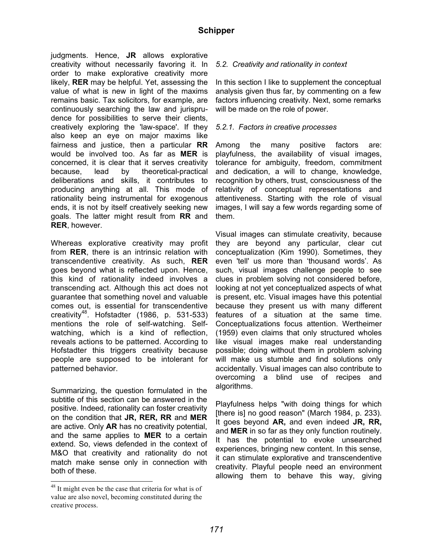judgments. Hence, **JR** allows explorative creativity without necessarily favoring it. In order to make explorative creativity more likely, **RER** may be helpful. Yet, assessing the value of what is new in light of the maxims remains basic. Tax solicitors, for example, are continuously searching the law and jurisprudence for possibilities to serve their clients, creatively exploring the 'law-space'. If they also keep an eye on major maxims like fairness and justice, then a particular **RR** would be involved too. As far as **MER** is concerned, it is clear that it serves creativity because, lead by theoretical-practical deliberations and skills, it contributes to producing anything at all. This mode of rationality being instrumental for exogenous ends, it is not by itself creatively seeking new goals. The latter might result from **RR** and **RER**, however.

Whereas explorative creativity may profit from **RER**, there is an intrinsic relation with transcendentive creativity. As such, **RER** goes beyond what is reflected upon. Hence, this kind of rationality indeed involves a transcending act. Although this act does not guarantee that something novel and valuable comes out, is essential for transcendentive creativity<sup>48</sup>. Hofstadter (1986, p. 531-533) mentions the role of self-watching. Selfwatching, which is a kind of reflection, reveals actions to be patterned. According to Hofstadter this triggers creativity because people are supposed to be intolerant for patterned behavior.

Summarizing, the question formulated in the subtitle of this section can be answered in the positive. Indeed, rationality can foster creativity on the condition that **JR, RER, RR** and **MER** are active. Only **AR** has no creativity potential, and the same applies to **MER** to a certain extend. So, views defended in the context of M&O that creativity and rationality do not match make sense only in connection with both of these.

### *5.2. Creativity and rationality in context*

In this section I like to supplement the conceptual analysis given thus far, by commenting on a few factors influencing creativity. Next, some remarks will be made on the role of power.

#### *5.2.1. Factors in creative processes*

Among the many positive factors are: playfulness, the availability of visual images, tolerance for ambiguity, freedom, commitment and dedication, a will to change, knowledge, recognition by others, trust, consciousness of the relativity of conceptual representations and attentiveness. Starting with the role of visual images, I will say a few words regarding some of them.

Visual images can stimulate creativity, because they are beyond any particular, clear cut conceptualization (Kim 1990). Sometimes, they even 'tell' us more than 'thousand words'. As such, visual images challenge people to see clues in problem solving not considered before, looking at not yet conceptualized aspects of what is present, etc. Visual images have this potential because they present us with many different features of a situation at the same time. Conceptualizations focus attention. Wertheimer (1959) even claims that only structured wholes like visual images make real understanding possible; doing without them in problem solving will make us stumble and find solutions only accidentally. Visual images can also contribute to overcoming a blind use of recipes and algorithms.

Playfulness helps "with doing things for which [there is] no good reason" (March 1984, p. 233). It goes beyond **AR,** and even indeed **JR, RR,** and **MER** in so far as they only function routinely. It has the potential to evoke unsearched experiences, bringing new content. In this sense, it can stimulate explorative and transcendentive creativity. Playful people need an environment allowing them to behave this way, giving

<sup>&</sup>lt;sup>48</sup> It might even be the case that criteria for what is of value are also novel, becoming constituted during the creative process.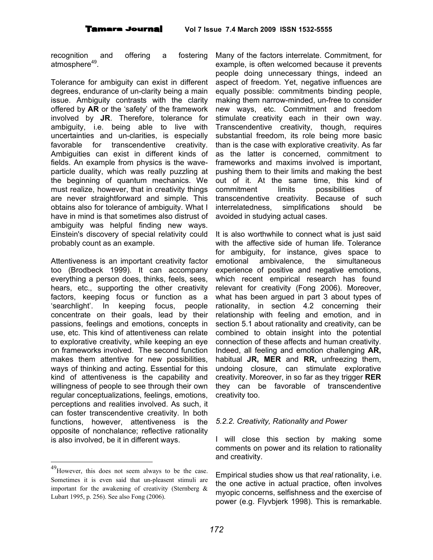recognition and offering a fostering atmosphere<sup>49</sup>.

Tolerance for ambiguity can exist in different degrees, endurance of un-clarity being a main issue. Ambiguity contrasts with the clarity offered by **AR** or the 'safety' of the framework involved by **JR**. Therefore, tolerance for ambiguity, i.e. being able to live with uncertainties and un-clarities, is especially favorable for transcendentive creativity. Ambiguities can exist in different kinds of fields. An example from physics is the waveparticle duality, which was really puzzling at the beginning of quantum mechanics. We must realize, however, that in creativity things are never straightforward and simple. This obtains also for tolerance of ambiguity. What I have in mind is that sometimes also distrust of ambiguity was helpful finding new ways. Einstein's discovery of special relativity could probably count as an example.

Attentiveness is an important creativity factor too (Brodbeck 1999). It can accompany everything a person does, thinks, feels, sees, hears, etc., supporting the other creativity factors, keeping focus or function as a 'searchlight'. In keeping focus, people concentrate on their goals, lead by their passions, feelings and emotions, concepts in use, etc. This kind of attentiveness can relate to explorative creativity, while keeping an eye on frameworks involved. The second function makes them attentive for new possibilities, ways of thinking and acting. Essential for this kind of attentiveness is the capability and willingness of people to see through their own regular conceptualizations, feelings, emotions, perceptions and realities involved. As such, it can foster transcendentive creativity. In both functions, however, attentiveness is the opposite of nonchalance; reflective rationality is also involved, be it in different ways.

Many of the factors interrelate. Commitment, for example, is often welcomed because it prevents people doing unnecessary things, indeed an aspect of freedom. Yet, negative influences are equally possible: commitments binding people, making them narrow-minded, un-free to consider new ways, etc. Commitment and freedom stimulate creativity each in their own way. Transcendentive creativity, though, requires substantial freedom, its role being more basic than is the case with explorative creativity. As far as the latter is concerned, commitment to frameworks and maxims involved is important, pushing them to their limits and making the best out of it. At the same time, this kind of commitment limits possibilities of transcendentive creativity. Because of such interrelatedness, simplifications should be avoided in studying actual cases.

It is also worthwhile to connect what is just said with the affective side of human life. Tolerance for ambiguity, for instance, gives space to emotional ambivalence, the simultaneous experience of positive and negative emotions, which recent empirical research has found relevant for creativity (Fong 2006). Moreover, what has been argued in part 3 about types of rationality, in section 4.2 concerning their relationship with feeling and emotion, and in section 5.1 about rationality and creativity, can be combined to obtain insight into the potential connection of these affects and human creativity. Indeed, all feeling and emotion challenging **AR,** habitual **JR, MER** and **RR,** unfreezing them, undoing closure, can stimulate explorative creativity. Moreover, in so far as they trigger **RER**  they can be favorable of transcendentive creativity too.

#### *5.2.2. Creativity, Rationality and Power*

I will close this section by making some comments on power and its relation to rationality and creativity.

Empirical studies show us that *real* rationality, i.e. the one active in actual practice, often involves myopic concerns, selfishness and the exercise of power (e.g. Flyvbjerk 1998). This is remarkable.

<sup>&</sup>lt;sup>49</sup> However, this does not seem always to be the case. Sometimes it is even said that un-pleasent stimuli are important for the awakening of creativity (Sternberg  $\&$ Lubart 1995, p. 256). See also Fong (2006).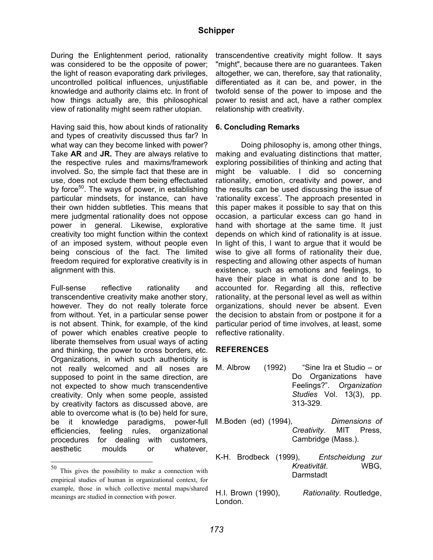During the Enlightenment period, rationality was considered to be the opposite of power; the light of reason evaporating dark privileges, uncontrolled political influences, unjustifiable knowledge and authority claims etc. In front of how things actually are, this philosophical view of rationality might seem rather utopian.

Having said this, how about kinds of rationality and types of creativity discussed thus far? In what way can they become linked with power? Take **AR** and **JR.** They are always relative to the respective rules and maxims/framework involved. So, the simple fact that these are in use, does not exclude them being effectuated by force<sup>50</sup>. The ways of power, in establishing particular mindsets, for instance, can have their own hidden subtleties. This means that mere judgmental rationality does not oppose power in general. Likewise, explorative creativity too might function within the context of an imposed system, without people even being conscious of the fact. The limited freedom required for explorative creativity is in alignment with this.

Full-sense reflective rationality and transcendentive creativity make another story, however. They do not really tolerate force from without. Yet, in a particular sense power is not absent. Think, for example, of the kind of power which enables creative people to liberate themselves from usual ways of acting and thinking, the power to cross borders, etc. Organizations, in which such authenticity is not really welcomed and all noses are supposed to point in the same direction, are not expected to show much transcendentive creativity. Only when some people, assisted by creativity factors as discussed above, are able to overcome what is (to be) held for sure, be it knowledge paradigms, power-full efficiencies, feeling rules, organizational procedures for dealing with customers, aesthetic moulds or whatever,

transcendentive creativity might follow. It says "might", because there are no guarantees. Taken altogether, we can, therefore, say that rationality, differentiated as it can be, and power, in the twofold sense of the power to impose and the power to resist and act, have a rather complex relationship with creativity.

#### **6. Concluding Remarks**

Doing philosophy is, among other things, making and evaluating distinctions that matter, exploring possibilities of thinking and acting that might be valuable. I did so concerning rationality, emotion, creativity and power, and the results can be used discussing the issue of 'rationality excess'. The approach presented in this paper makes it possible to say that on this occasion, a particular excess can go hand in hand with shortage at the same time. It just depends on which kind of rationality is at issue. In light of this, I want to argue that it would be wise to give all forms of rationality their due, respecting and allowing other aspects of human existence, such as emotions and feelings, to have their place in what is done and to be accounted for. Regarding all this, reflective rationality, at the personal level as well as within organizations, should never be absent. Even the decision to abstain from or postpone it for a particular period of time involves, at least, some reflective rationality.

#### **REFERENCES**

- M. Albrow (1992) "Sine Ira et Studio or Do Organizations have Feelings?". *Organization Studies* Vol. 13(3), pp. 313-329.
- M.Boden (ed) (1994), *Dimensions of Creativity*. MIT Press, Cambridge (Mass.).
- K-H. Brodbeck (1999), *Entscheidung zur Kreativität*. WBG, **Darmstadt**
- H.I. Brown (1990), *Rationality.* Routledge, London.

 <sup>50</sup> This gives the possibility to make <sup>a</sup> connection with empirical studies of human in organizational context, for example, those in which collective mental maps/shared meanings are studied in connection with power.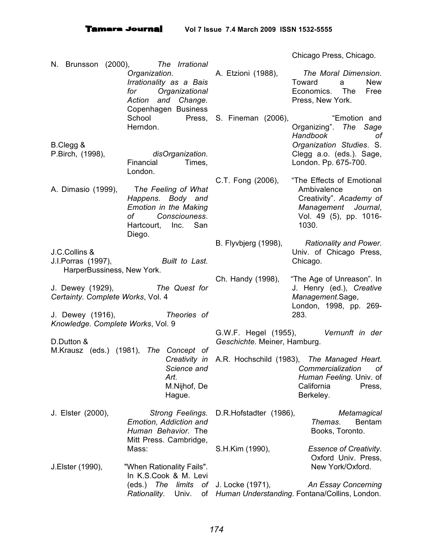N. Brunsson (2000), *The Irrational Organization. Irrationality as a Bais for Organizational Action and Change.* Copenhagen Business School Press, S. Fineman (2006), The "Emotion and Herndon. B.Clegg & P.Birch, (1998), *disOrganization*. Financial Times, London. A. Dimasio (1999), T*he Feeling of What Happens. Body and Emotion in the Making of Consciouness*. Hartcourt, Inc. San Diego. J.C.Collins & J.I.Porras (1997), *Built to Last*. HarperBussiness, New York. J. Dewey (1929), *The Quest for Certainty. Complete Works*, Vol. 4 J. Dewey (1916), *Theories of Knowledge. Complete Works*, Vol. 9 D.Dutton & M.Krausz (eds.) (1981), *The Concept of Creativity in* A.R. Hochschild (1983), *The Managed Heart. Science and Art*. M.Nijhof, De Hague. J. Elster (2000), *Strong Feelings.* D.R.Hofstadter (1986), *Metamagical Emotion, Addiction and Human Behavior*. The Mitt Press. Cambridge, Mass: J.Elster (1990), "When Rationality Fails". In K.S.Cook & M. Levi (eds.) *The limits of Rationality*. Univ. of *Human Understanding*. Fontana/Collins, London.Chicago Press, Chicago. A. Etzioni (1988), *The Moral Dimension*. Toward a New Economics. The Free Press, New York. Organizing". *The Sage Handbook of Organization Studies*. S. Clegg a.o. (eds.). Sage, London. Pp. 675-700. C.T. Fong (2006), "The Effects of Emotional Ambivalence on Creativity". *Academy of Management Journal*, Vol. 49 (5), pp. 1016- 1030. B. Flyvbjerg (1998), *Rationality and Power*. Univ. of Chicago Press, Chicago. Ch. Handy (1998), "The Age of Unreason". In J. Henry (ed.), *Creative Management*.Sage, London, 1998, pp. 269- 283. G.W.F. Hegel (1955), *Vernunft in der Geschichte.* Meiner, Hamburg. *Commercialization of Human Feeling.* Univ. of California Press, Berkeley. *Themas*. Bentam Books, Toronto. S.H.Kim (1990), *Essence of Creativity*. Oxford Univ. Press, New York/Oxford. An *Essay Concerning*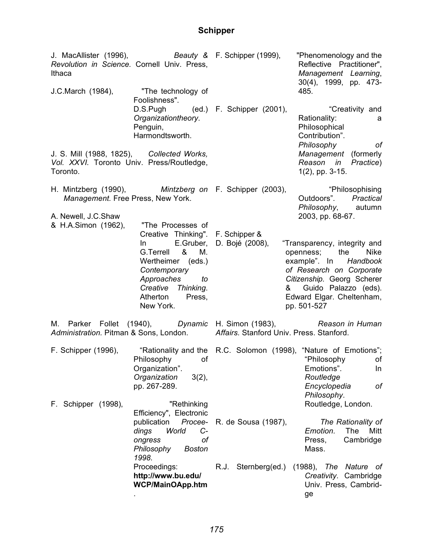| J. MacAllister (1996), Beauty & F. Schipper (1999),<br>Revolution in Science. Cornell Univ. Press,<br>Ithaca |                                                                                                             |                                                                                                                                                                                                                                                                    | "Phenomenology and the<br>Reflective Practitioner",<br>Management Learning,<br>30(4), 1999, pp. 473-                                                       |
|--------------------------------------------------------------------------------------------------------------|-------------------------------------------------------------------------------------------------------------|--------------------------------------------------------------------------------------------------------------------------------------------------------------------------------------------------------------------------------------------------------------------|------------------------------------------------------------------------------------------------------------------------------------------------------------|
| J.C.March (1984),                                                                                            | "The technology of<br>Foolishness".                                                                         |                                                                                                                                                                                                                                                                    | 485.                                                                                                                                                       |
|                                                                                                              | D.S.Pugh (ed.) F. Schipper (2001),<br>Organizationtheory.<br>Penguin,<br>Harmondtsworth.                    |                                                                                                                                                                                                                                                                    | "Creativity and<br>Rationality:<br>а<br>Philosophical<br>Contribution".<br>Philosophy<br>of                                                                |
| J. S. Mill (1988, 1825), Collected Works,<br>Vol. XXVI. Toronto Univ. Press/Routledge,<br>Toronto.           |                                                                                                             |                                                                                                                                                                                                                                                                    | Management (formerly<br>Reason in Practice)<br>$1(2)$ , pp. 3-15.                                                                                          |
| H. Mintzberg (1990), Mintzberg on F. Schipper (2003),<br>Management. Free Press, New York.                   |                                                                                                             |                                                                                                                                                                                                                                                                    | "Philosophising<br>Outdoors". Practical<br>Philosophy, autumn                                                                                              |
| A. Newell, J.C.Shaw<br>& H.A.Simon (1962),                                                                   | "The Processes of<br>Creative Thinking". F. Schipper &<br>E.Gruber,<br>In.<br>G.Terrell<br>&<br>M.          | 2003, pp. 68-67.<br>D. Bojé (2008),<br>"Transparency, integrity and<br>the<br>openness;<br><b>Nike</b><br>example". In<br>Handbook<br>of Research on Corporate<br>Citizenship. Georg Scherer<br>& Guido Palazzo (eds).<br>Edward Elgar. Cheltenham,<br>pp. 501-527 |                                                                                                                                                            |
|                                                                                                              | Wertheimer (eds.)<br>Contemporary<br>Approaches<br>to<br>Creative Thinking.<br>Atherton Press,<br>New York. |                                                                                                                                                                                                                                                                    |                                                                                                                                                            |
| Administration. Pitman & Sons, London. Affairs. Stanford Univ. Press. Stanford.                              |                                                                                                             | M. Parker Follet (1940), Dynamic H. Simon (1983), Reason in Human                                                                                                                                                                                                  |                                                                                                                                                            |
| F. Schipper (1996),                                                                                          | Philosophy<br>of<br>Organization".<br>Organization<br>$3(2)$ ,<br>pp. 267-289.                              |                                                                                                                                                                                                                                                                    | "Rationality and the R.C. Solomon (1998), "Nature of Emotions";<br>"Philosophy<br>of<br>Emotions".<br>In<br>Routledge<br>Encyclopedia<br>оf<br>Philosophy. |
| F. Schipper (1998),                                                                                          | "Rethinking<br>Efficiency", Electronic                                                                      |                                                                                                                                                                                                                                                                    | Routledge, London.                                                                                                                                         |
|                                                                                                              | publication<br>Procee-<br>dings<br>$C-$<br>World<br>оf<br>ongress<br>Philosophy<br><b>Boston</b><br>1998.   | R. de Sousa (1987),                                                                                                                                                                                                                                                | The Rationality of<br>Emotion.<br>The<br>Mitt<br>Cambridge<br>Press,<br>Mass.                                                                              |
|                                                                                                              | Proceedings:<br>http://www.bu.edu/<br><b>WCP/MainOApp.htm</b>                                               | R.J. Sternberg(ed.)                                                                                                                                                                                                                                                | $(1988)$ , The<br>Nature of<br>Creativity. Cambridge<br>Univ. Press, Cambrid-<br>ge                                                                        |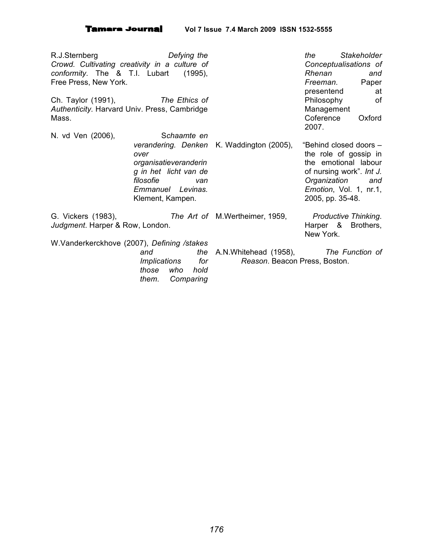R.J.Sternberg *Defying the Crowd. Cultivating creativity in a culture of conformity*. The & T.I. Lubart (1995), Free Press, New York.

Ch. Taylor (1991), *The Ethics of Authenticity.* Harvard Univ. Press, Cambridge Mass.

*the Stakeholder Conceptualisations of Rhenan and Freeman.* Paper presentend at Philosophy of Management Coference Oxford 2007.

N. vd Ven (2006), S*chaamte en verandering. Denken* K. Waddington (2005), "Behind closed doors – *over organisatieveranderin g in het licht van de filosofie van Emmanuel Levinas.* Klement, Kampen. G. Vickers (1983), *The Art of Judgment*. Harper & Row, London. W.Vanderkerckhove (2007), *Defining /stakes and the* the role of gossip in the emotional labour of nursing work". *Int J. Organization and Emotion*, Vol. 1, nr.1, 2005, pp. 35-48. M.Wertheimer, 1959, *Productive Thinking*. Harper & Brothers, New York.

*Implications for those who hold them. Comparing*

A.N.Whitehead (1958), *The Function of Reason*. Beacon Press, Boston.